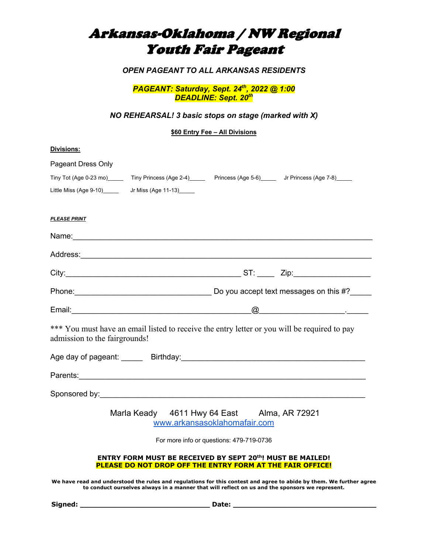# Arkansas-Oklahoma / NW Regional Youth Fair Pageant

*OPEN PAGEANT TO ALL ARKANSAS RESIDENTS*

*PAGEANT: Saturday, Sept. 24th, 2022 @ 1:00 DEADLINE: Sept. 20th*

*NO REHEARSAL! 3 basic stops on stage (marked with X)*

**\$60 Entry Fee – All Divisions**

| <b>Divisions:</b> |  |
|-------------------|--|
|                   |  |

| Pageant Dress Only                                                                                                                                                                                                             |  |                                                                                                                        |                                                                                                                                                                                                                                                                                                                                                                    |
|--------------------------------------------------------------------------------------------------------------------------------------------------------------------------------------------------------------------------------|--|------------------------------------------------------------------------------------------------------------------------|--------------------------------------------------------------------------------------------------------------------------------------------------------------------------------------------------------------------------------------------------------------------------------------------------------------------------------------------------------------------|
| Tiny Tot (Age 0-23 mo) ______ Tiny Princess (Age 2-4) _____ Princess (Age 5-6) _____ Jr Princess (Age 7-8)                                                                                                                     |  |                                                                                                                        |                                                                                                                                                                                                                                                                                                                                                                    |
| Little Miss (Age 9-10) ________________ Jr Miss (Age 11-13)_______                                                                                                                                                             |  |                                                                                                                        |                                                                                                                                                                                                                                                                                                                                                                    |
| <b>PLEASE PRINT</b>                                                                                                                                                                                                            |  |                                                                                                                        |                                                                                                                                                                                                                                                                                                                                                                    |
|                                                                                                                                                                                                                                |  |                                                                                                                        |                                                                                                                                                                                                                                                                                                                                                                    |
|                                                                                                                                                                                                                                |  |                                                                                                                        |                                                                                                                                                                                                                                                                                                                                                                    |
|                                                                                                                                                                                                                                |  |                                                                                                                        |                                                                                                                                                                                                                                                                                                                                                                    |
| Phone: Phone: 2000 Phone: 2000 Phone: 2010 Phone: 2010 Phone: 2010 Phone: 2010 Phone: 2010 Phone: 2010 Phone: 2010 Phone: 2010 Phone: 2010 Phone: 2010 Phone: 2010 Phone: 2010 Phone: 2010 Phone: 2010 Phone: 2010 Phone: 2010 |  |                                                                                                                        |                                                                                                                                                                                                                                                                                                                                                                    |
|                                                                                                                                                                                                                                |  |                                                                                                                        | $\begin{picture}(150,10) \put(0,0){\vector(1,0){100}} \put(15,0){\vector(1,0){100}} \put(15,0){\vector(1,0){100}} \put(15,0){\vector(1,0){100}} \put(15,0){\vector(1,0){100}} \put(15,0){\vector(1,0){100}} \put(15,0){\vector(1,0){100}} \put(15,0){\vector(1,0){100}} \put(15,0){\vector(1,0){100}} \put(15,0){\vector(1,0){100}} \put(15,0){\vector(1,0){100}}$ |
| *** You must have an email listed to receive the entry letter or you will be required to pay<br>admission to the fairgrounds!                                                                                                  |  |                                                                                                                        |                                                                                                                                                                                                                                                                                                                                                                    |
|                                                                                                                                                                                                                                |  |                                                                                                                        |                                                                                                                                                                                                                                                                                                                                                                    |
| Parents: 2008 Contract Contract Contract Contract Contract Contract Contract Contract Contract Contract Contract Contract Contract Contract Contract Contract Contract Contract Contract Contract Contract Contract Contract C |  |                                                                                                                        |                                                                                                                                                                                                                                                                                                                                                                    |
|                                                                                                                                                                                                                                |  |                                                                                                                        |                                                                                                                                                                                                                                                                                                                                                                    |
|                                                                                                                                                                                                                                |  | Marla Keady 4611 Hwy 64 East Alma, AR 72921<br>www.arkansasoklahomafair.com                                            |                                                                                                                                                                                                                                                                                                                                                                    |
| For more info or questions: 479-719-0736                                                                                                                                                                                       |  |                                                                                                                        |                                                                                                                                                                                                                                                                                                                                                                    |
|                                                                                                                                                                                                                                |  | ENTRY FORM MUST BE RECEIVED BY SEPT 20th! MUST BE MAILED!<br>PLEASE DO NOT DROP OFF THE ENTRY FORM AT THE FAIR OFFICE! |                                                                                                                                                                                                                                                                                                                                                                    |

**We have read and understood the rules and regulations for this contest and agree to abide by them. We further agree to conduct ourselves always in a manner that will reflect on us and the sponsors we represent.** 

**Signed: \_\_\_\_\_\_\_\_\_\_\_\_\_\_\_\_\_\_\_\_\_\_\_\_\_\_\_\_\_ Date: \_\_\_\_\_\_\_\_\_\_\_\_\_\_\_\_\_\_\_\_\_\_\_\_\_\_\_\_\_\_\_\_**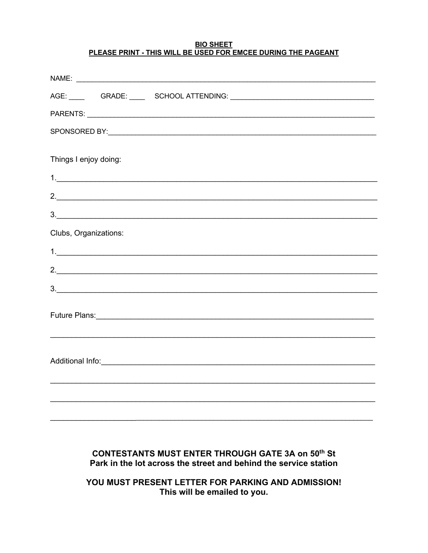#### **BIO SHEET** PLEASE PRINT - THIS WILL BE USED FOR EMCEE DURING THE PAGEANT

| Things I enjoy doing: |    |
|-----------------------|----|
|                       | 1. |
|                       | 2. |
|                       | 3. |
| Clubs, Organizations: |    |
|                       |    |
|                       | 2. |
|                       | 3. |
|                       |    |
|                       |    |
|                       |    |
|                       |    |
|                       |    |
|                       |    |

### **CONTESTANTS MUST ENTER THROUGH GATE 3A on 50th St** Park in the lot across the street and behind the service station

YOU MUST PRESENT LETTER FOR PARKING AND ADMISSION! This will be emailed to you.